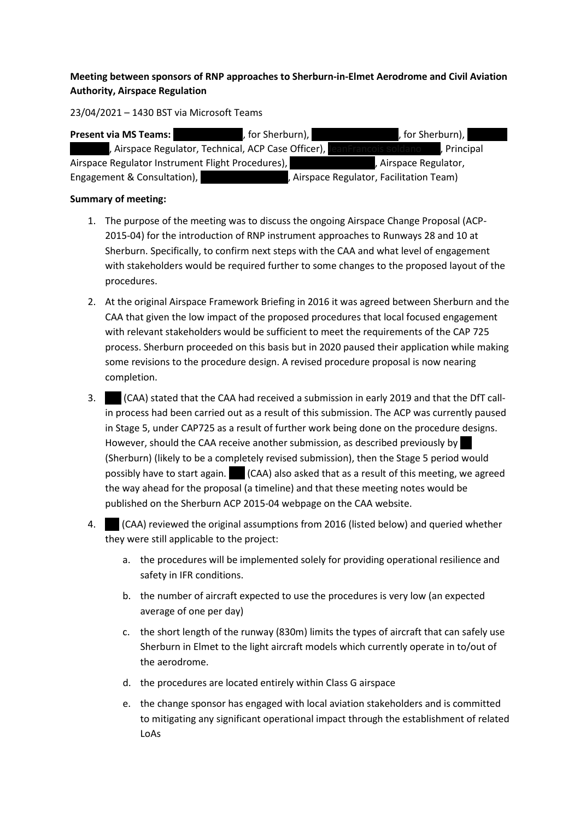## **Meeting between sponsors of RNP approaches to Sherburn-in-Elmet Aerodrome and Civil Aviation Authority, Airspace Regulation**

23/04/2021 – 1430 BST via Microsoft Teams

| <b>Present via MS Teams:</b>                        | , for Sherburn), I | , for Sherburn), I                       |  |
|-----------------------------------------------------|--------------------|------------------------------------------|--|
| , Airspace Regulator, Technical, ACP Case Officer), |                    | , Principal                              |  |
| Airspace Regulator Instrument Flight Procedures),   |                    | , Airspace Regulator,                    |  |
| Engagement & Consultation),                         |                    | , Airspace Regulator, Facilitation Team) |  |

## **Summary of meeting:**

- 1. The purpose of the meeting was to discuss the ongoing Airspace Change Proposal (ACP-2015-04) for the introduction of RNP instrument approaches to Runways 28 and 10 at Sherburn. Specifically, to confirm next steps with the CAA and what level of engagement with stakeholders would be required further to some changes to the proposed layout of the procedures.
- 2. At the original Airspace Framework Briefing in 2016 it was agreed between Sherburn and the CAA that given the low impact of the proposed procedures that local focused engagement with relevant stakeholders would be sufficient to meet the requirements of the CAP 725 process. Sherburn proceeded on this basis but in 2020 paused their application while making some revisions to the procedure design. A revised procedure proposal is now nearing completion.
- 3. MG (CAA) stated that the CAA had received a submission in early 2019 and that the DfT callin process had been carried out as a result of this submission. The ACP was currently paused in Stage 5, under CAP725 as a result of further work being done on the procedure designs. However, should the CAA receive another submission, as described previously by (Sherburn) (likely to be a completely revised submission), then the Stage 5 period would possibly have to start again.  $\blacksquare$  (CAA) also asked that as a result of this meeting, we agreed the way ahead for the proposal (a timeline) and that these meeting notes would be published on the Sherburn ACP 2015-04 webpage on the CAA website.
- 4. MCAA) reviewed the original assumptions from 2016 (listed below) and queried whether they were still applicable to the project:
	- a. the procedures will be implemented solely for providing operational resilience and safety in IFR conditions.
	- b. the number of aircraft expected to use the procedures is very low (an expected average of one per day)
	- c. the short length of the runway (830m) limits the types of aircraft that can safely use Sherburn in Elmet to the light aircraft models which currently operate in to/out of the aerodrome.
	- d. the procedures are located entirely within Class G airspace
	- e. the change sponsor has engaged with local aviation stakeholders and is committed to mitigating any significant operational impact through the establishment of related LoAs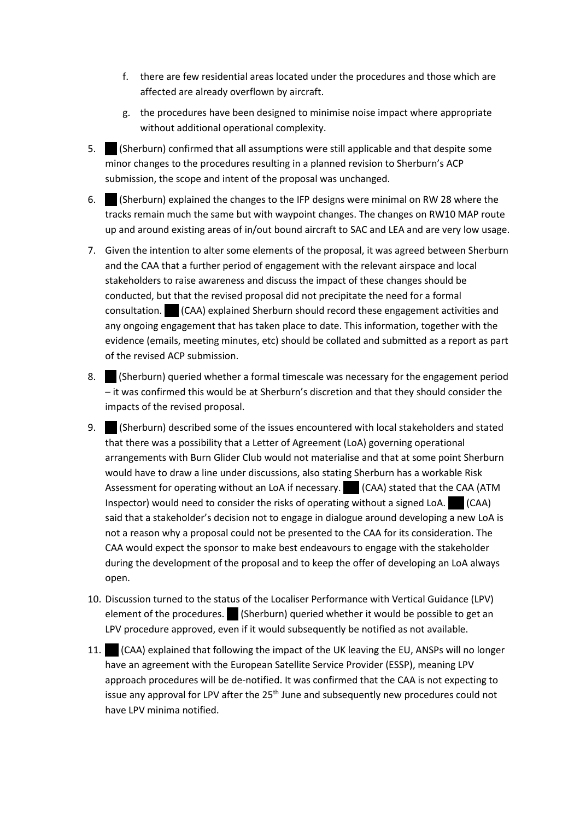- f. there are few residential areas located under the procedures and those which are affected are already overflown by aircraft.
- g. the procedures have been designed to minimise noise impact where appropriate without additional operational complexity.
- 5. Sherburn) confirmed that all assumptions were still applicable and that despite some minor changes to the procedures resulting in a planned revision to Sherburn's ACP submission, the scope and intent of the proposal was unchanged.
- 6. Sherburn) explained the changes to the IFP designs were minimal on RW 28 where the tracks remain much the same but with waypoint changes. The changes on RW10 MAP route up and around existing areas of in/out bound aircraft to SAC and LEA and are very low usage.
- 7. Given the intention to alter some elements of the proposal, it was agreed between Sherburn and the CAA that a further period of engagement with the relevant airspace and local stakeholders to raise awareness and discuss the impact of these changes should be conducted, but that the revised proposal did not precipitate the need for a formal  $\text{constant}$  (CAA) explained Sherburn should record these engagement activities and any ongoing engagement that has taken place to date. This information, together with the evidence (emails, meeting minutes, etc) should be collated and submitted as a report as part of the revised ACP submission.
- 8. **E** (Sherburn) queried whether a formal timescale was necessary for the engagement period – it was confirmed this would be at Sherburn's discretion and that they should consider the impacts of the revised proposal.
- 9. Sherburn) described some of the issues encountered with local stakeholders and stated that there was a possibility that a Letter of Agreement (LoA) governing operational arrangements with Burn Glider Club would not materialise and that at some point Sherburn would have to draw a line under discussions, also stating Sherburn has a workable Risk Assessment for operating without an LoA if necessary. (CAA) stated that the CAA (ATM Inspector) would need to consider the risks of operating without a signed LoA.  $\Box$  (CAA) said that a stakeholder's decision not to engage in dialogue around developing a new LoA is not a reason why a proposal could not be presented to the CAA for its consideration. The CAA would expect the sponsor to make best endeavours to engage with the stakeholder during the development of the proposal and to keep the offer of developing an LoA always open.
- 10. Discussion turned to the status of the Localiser Performance with Vertical Guidance (LPV) element of the procedures.  $\blacksquare$  (Sherburn) queried whether it would be possible to get an LPV procedure approved, even if it would subsequently be notified as not available.
- 11. GAA) explained that following the impact of the UK leaving the EU, ANSPs will no longer have an agreement with the European Satellite Service Provider (ESSP), meaning LPV approach procedures will be de-notified. It was confirmed that the CAA is not expecting to issue any approval for LPV after the 25<sup>th</sup> June and subsequently new procedures could not have LPV minima notified.